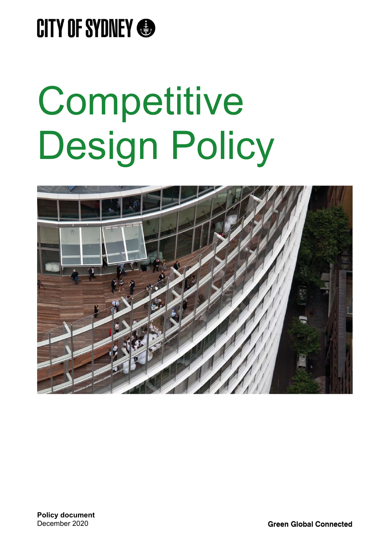

# Competitive Design Policy

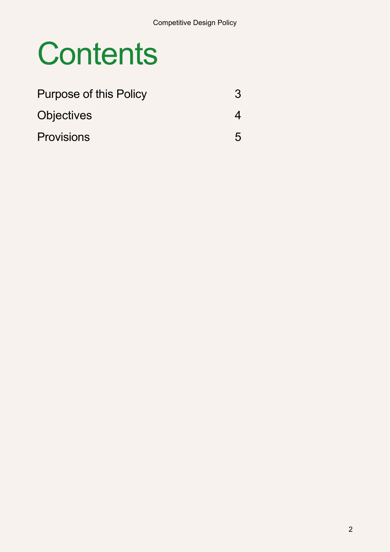## **Contents**

| <b>Purpose of this Policy</b> | 3 |
|-------------------------------|---|
| <b>Objectives</b>             |   |
| <b>Provisions</b>             | 5 |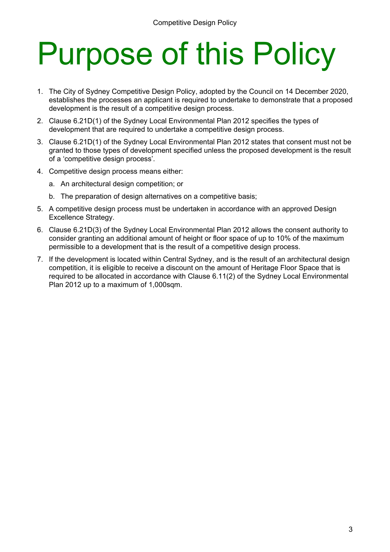# Purpose of this Policy

- 1. The City of Sydney Competitive Design Policy, adopted by the Council on 14 December 2020, establishes the processes an applicant is required to undertake to demonstrate that a proposed development is the result of a competitive design process.
- 2. Clause 6.21D(1) of the Sydney Local Environmental Plan 2012 specifies the types of development that are required to undertake a competitive design process.
- 3. Clause 6.21D(1) of the Sydney Local Environmental Plan 2012 states that consent must not be granted to those types of development specified unless the proposed development is the result of a 'competitive design process'.
- 4. Competitive design process means either:
	- a. An architectural design competition; or
	- b. The preparation of design alternatives on a competitive basis;
- 5. A competitive design process must be undertaken in accordance with an approved Design Excellence Strategy.
- 6. Clause 6.21D(3) of the Sydney Local Environmental Plan 2012 allows the consent authority to consider granting an additional amount of height or floor space of up to 10% of the maximum permissible to a development that is the result of a competitive design process.
- 7. If the development is located within Central Sydney, and is the result of an architectural design competition, it is eligible to receive a discount on the amount of Heritage Floor Space that is required to be allocated in accordance with Clause 6.11(2) of the Sydney Local Environmental Plan 2012 up to a maximum of 1,000sqm.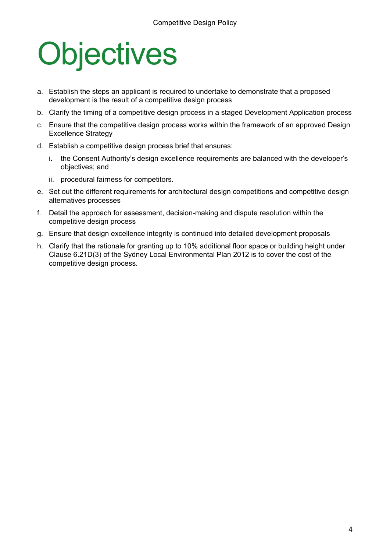# **Objectives**

- a. Establish the steps an applicant is required to undertake to demonstrate that a proposed development is the result of a competitive design process
- b. Clarify the timing of a competitive design process in a staged Development Application process
- c. Ensure that the competitive design process works within the framework of an approved Design Excellence Strategy
- d. Establish a competitive design process brief that ensures:
	- i. the Consent Authority's design excellence requirements are balanced with the developer's objectives; and
	- ii. procedural fairness for competitors.
- e. Set out the different requirements for architectural design competitions and competitive design alternatives processes
- f. Detail the approach for assessment, decision-making and dispute resolution within the competitive design process
- g. Ensure that design excellence integrity is continued into detailed development proposals
- h. Clarify that the rationale for granting up to 10% additional floor space or building height under Clause 6.21D(3) of the Sydney Local Environmental Plan 2012 is to cover the cost of the competitive design process.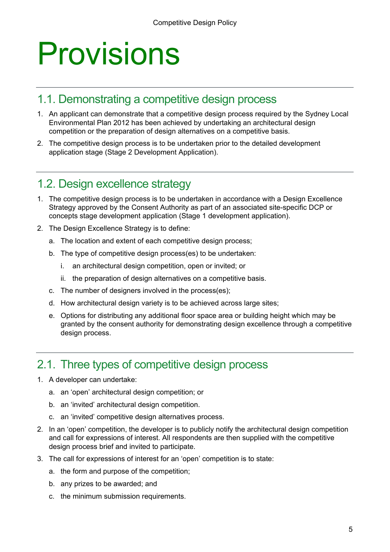### Provisions

#### 1.1. Demonstrating a competitive design process

- 1. An applicant can demonstrate that a competitive design process required by the Sydney Local Environmental Plan 2012 has been achieved by undertaking an architectural design competition or the preparation of design alternatives on a competitive basis.
- 2. The competitive design process is to be undertaken prior to the detailed development application stage (Stage 2 Development Application).

#### 1.2. Design excellence strategy

- 1. The competitive design process is to be undertaken in accordance with a Design Excellence Strategy approved by the Consent Authority as part of an associated site-specific DCP or concepts stage development application (Stage 1 development application).
- 2. The Design Excellence Strategy is to define:
	- a. The location and extent of each competitive design process;
	- b. The type of competitive design process(es) to be undertaken:
		- i. an architectural design competition, open or invited; or
		- ii. the preparation of design alternatives on a competitive basis.
	- c. The number of designers involved in the process(es);
	- d. How architectural design variety is to be achieved across large sites;
	- e. Options for distributing any additional floor space area or building height which may be granted by the consent authority for demonstrating design excellence through a competitive design process.

#### 2.1. Three types of competitive design process

- 1. A developer can undertake:
	- a. an 'open' architectural design competition; or
	- b. an 'invited' architectural design competition.
	- c. an 'invited' competitive design alternatives process.
- 2. In an 'open' competition, the developer is to publicly notify the architectural design competition and call for expressions of interest. All respondents are then supplied with the competitive design process brief and invited to participate.
- 3. The call for expressions of interest for an 'open' competition is to state:
	- a. the form and purpose of the competition;
	- b. any prizes to be awarded; and
	- c. the minimum submission requirements.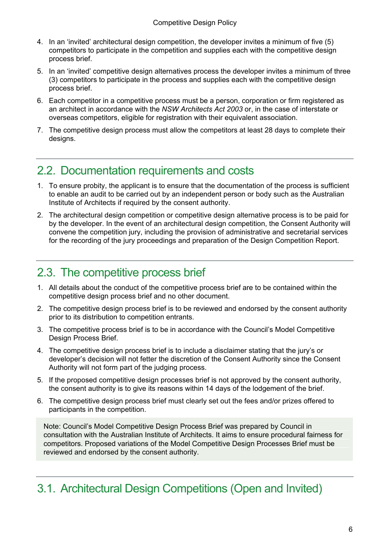- 4. In an 'invited' architectural design competition, the developer invites a minimum of five (5) competitors to participate in the competition and supplies each with the competitive design process brief.
- 5. In an 'invited' competitive design alternatives process the developer invites a minimum of three (3) competitors to participate in the process and supplies each with the competitive design process brief.
- 6. Each competitor in a competitive process must be a person, corporation or firm registered as an architect in accordance with the *NSW Architects Act 2003* or, in the case of interstate or overseas competitors, eligible for registration with their equivalent association.
- 7. The competitive design process must allow the competitors at least 28 days to complete their designs.

### 2.2. Documentation requirements and costs

- 1. To ensure probity, the applicant is to ensure that the documentation of the process is sufficient to enable an audit to be carried out by an independent person or body such as the Australian Institute of Architects if required by the consent authority.
- 2. The architectural design competition or competitive design alternative process is to be paid for by the developer. In the event of an architectural design competition, the Consent Authority will convene the competition jury, including the provision of administrative and secretarial services for the recording of the jury proceedings and preparation of the Design Competition Report.

#### 2.3. The competitive process brief

- 1. All details about the conduct of the competitive process brief are to be contained within the competitive design process brief and no other document.
- 2. The competitive design process brief is to be reviewed and endorsed by the consent authority prior to its distribution to competition entrants.
- 3. The competitive process brief is to be in accordance with the Council's Model Competitive Design Process Brief.
- 4. The competitive design process brief is to include a disclaimer stating that the jury's or developer's decision will not fetter the discretion of the Consent Authority since the Consent Authority will not form part of the judging process.
- 5. If the proposed competitive design processes brief is not approved by the consent authority, the consent authority is to give its reasons within 14 days of the lodgement of the brief.
- 6. The competitive design process brief must clearly set out the fees and/or prizes offered to participants in the competition.

Note: Council's Model Competitive Design Process Brief was prepared by Council in consultation with the Australian Institute of Architects. It aims to ensure procedural fairness for competitors. Proposed variations of the Model Competitive Design Processes Brief must be reviewed and endorsed by the consent authority.

#### 3.1. Architectural Design Competitions (Open and Invited)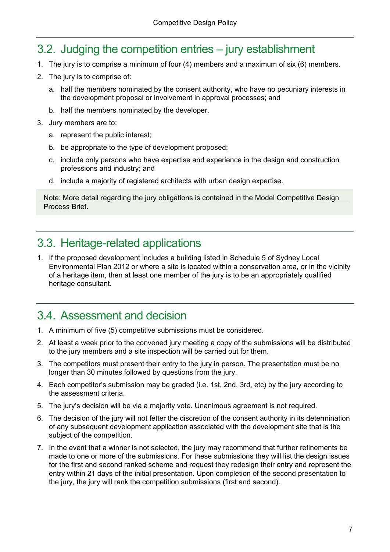### 3.2. Judging the competition entries – jury establishment

- 1. The jury is to comprise a minimum of four (4) members and a maximum of six (6) members.
- 2. The jury is to comprise of:
	- a. half the members nominated by the consent authority, who have no pecuniary interests in the development proposal or involvement in approval processes; and
	- b. half the members nominated by the developer.
- 3. Jury members are to:
	- a. represent the public interest;
	- b. be appropriate to the type of development proposed;
	- c. include only persons who have expertise and experience in the design and construction professions and industry; and
	- d. include a majority of registered architects with urban design expertise.

Note: More detail regarding the jury obligations is contained in the Model Competitive Design Process Brief.

#### 3.3. Heritage-related applications

1. If the proposed development includes a building listed in Schedule 5 of Sydney Local Environmental Plan 2012 or where a site is located within a conservation area, or in the vicinity of a heritage item, then at least one member of the jury is to be an appropriately qualified heritage consultant.

#### 3.4. Assessment and decision

- 1. A minimum of five (5) competitive submissions must be considered.
- 2. At least a week prior to the convened jury meeting a copy of the submissions will be distributed to the jury members and a site inspection will be carried out for them.
- 3. The competitors must present their entry to the jury in person. The presentation must be no longer than 30 minutes followed by questions from the jury.
- 4. Each competitor's submission may be graded (i.e. 1st, 2nd, 3rd, etc) by the jury according to the assessment criteria.
- 5. The jury's decision will be via a majority vote. Unanimous agreement is not required.
- 6. The decision of the jury will not fetter the discretion of the consent authority in its determination of any subsequent development application associated with the development site that is the subject of the competition.
- 7. In the event that a winner is not selected, the jury may recommend that further refinements be made to one or more of the submissions. For these submissions they will list the design issues for the first and second ranked scheme and request they redesign their entry and represent the entry within 21 days of the initial presentation. Upon completion of the second presentation to the jury, the jury will rank the competition submissions (first and second).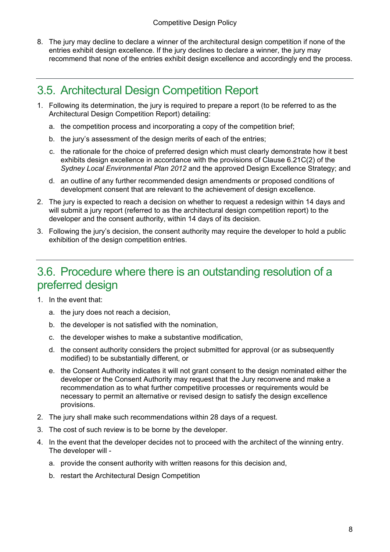8. The jury may decline to declare a winner of the architectural design competition if none of the entries exhibit design excellence. If the jury declines to declare a winner, the jury may recommend that none of the entries exhibit design excellence and accordingly end the process.

#### 3.5. Architectural Design Competition Report

- 1. Following its determination, the jury is required to prepare a report (to be referred to as the Architectural Design Competition Report) detailing:
	- a. the competition process and incorporating a copy of the competition brief;
	- b. the jury's assessment of the design merits of each of the entries;
	- c. the rationale for the choice of preferred design which must clearly demonstrate how it best exhibits design excellence in accordance with the provisions of Clause 6.21C(2) of the *Sydney Local Environmental Plan 2012* and the approved Design Excellence Strategy; and
	- d. an outline of any further recommended design amendments or proposed conditions of development consent that are relevant to the achievement of design excellence.
- 2. The jury is expected to reach a decision on whether to request a redesign within 14 days and will submit a jury report (referred to as the architectural design competition report) to the developer and the consent authority, within 14 days of its decision.
- 3. Following the jury's decision, the consent authority may require the developer to hold a public exhibition of the design competition entries.

#### 3.6. Procedure where there is an outstanding resolution of a preferred design

- 1. In the event that:
	- a. the jury does not reach a decision,
	- b. the developer is not satisfied with the nomination,
	- c. the developer wishes to make a substantive modification,
	- d. the consent authority considers the project submitted for approval (or as subsequently modified) to be substantially different, or
	- e. the Consent Authority indicates it will not grant consent to the design nominated either the developer or the Consent Authority may request that the Jury reconvene and make a recommendation as to what further competitive processes or requirements would be necessary to permit an alternative or revised design to satisfy the design excellence provisions.
- 2. The jury shall make such recommendations within 28 days of a request.
- 3. The cost of such review is to be borne by the developer.
- 4. In the event that the developer decides not to proceed with the architect of the winning entry. The developer will
	- a. provide the consent authority with written reasons for this decision and,
	- b. restart the Architectural Design Competition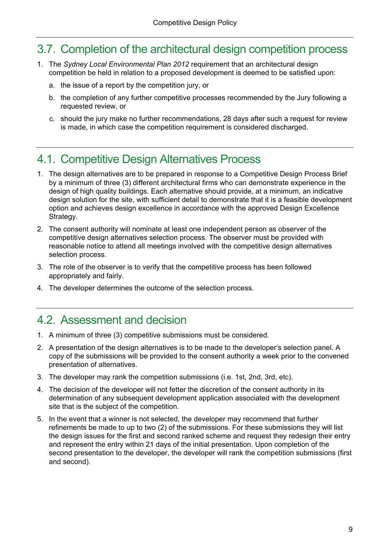#### 3.7. Completion of the architectural design competition process

- 1. The *Sydney Local Environmental Plan 2012* requirement that an architectural design competition be held in relation to a proposed development is deemed to be satisfied upon:
	- a. the issue of a report by the competition jury, or
	- b. the completion of any further competitive processes recommended by the Jury following a requested review, or
	- c. should the jury make no further recommendations, 28 days after such a request for review is made, in which case the competition requirement is considered discharged.

#### 4.1. Competitive Design Alternatives Process

- 1. The design alternatives are to be prepared in response to a Competitive Design Process Brief by a minimum of three (3) different architectural firms who can demonstrate experience in the design of high quality buildings. Each alternative should provide, at a minimum, an indicative design solution for the site, with sufficient detail to demonstrate that it is a feasible development option and achieves design excellence in accordance with the approved Design Excellence Strategy.
- 2. The consent authority will nominate at least one independent person as observer of the competitive design alternatives selection process. The observer must be provided with reasonable notice to attend all meetings involved with the competitive design alternatives selection process.
- 3. The role of the observer is to verify that the competitive process has been followed appropriately and fairly.
- 4. The developer determines the outcome of the selection process.

#### 4.2. Assessment and decision

- 1. A minimum of three (3) competitive submissions must be considered.
- 2. A presentation of the design alternatives is to be made to the developer's selection panel. A copy of the submissions will be provided to the consent authority a week prior to the convened presentation of alternatives.
- 3. The developer may rank the competition submissions (i.e. 1st, 2nd, 3rd, etc).
- 4. The decision of the developer will not fetter the discretion of the consent authority in its determination of any subsequent development application associated with the development site that is the subject of the competition.
- 5. In the event that a winner is not selected, the developer may recommend that further refinements be made to up to two (2) of the submissions. For these submissions they will list the design issues for the first and second ranked scheme and request they redesign their entry and represent the entry within 21 days of the initial presentation. Upon completion of the second presentation to the developer, the developer will rank the competition submissions (first and second).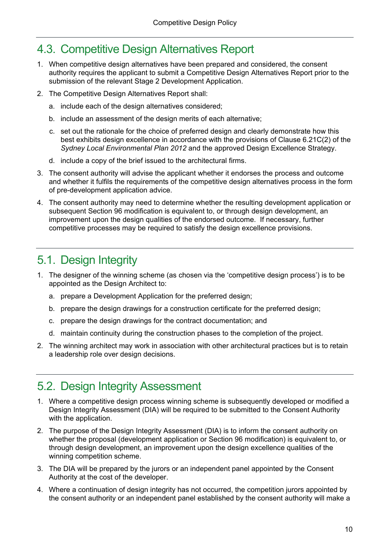### 4.3. Competitive Design Alternatives Report

- 1. When competitive design alternatives have been prepared and considered, the consent authority requires the applicant to submit a Competitive Design Alternatives Report prior to the submission of the relevant Stage 2 Development Application.
- 2. The Competitive Design Alternatives Report shall:
	- a. include each of the design alternatives considered;
	- b. include an assessment of the design merits of each alternative;
	- c. set out the rationale for the choice of preferred design and clearly demonstrate how this best exhibits design excellence in accordance with the provisions of Clause 6.21C(2) of the *Sydney Local Environmental Plan 2012* and the approved Design Excellence Strategy.
	- d. include a copy of the brief issued to the architectural firms.
- 3. The consent authority will advise the applicant whether it endorses the process and outcome and whether it fulfils the requirements of the competitive design alternatives process in the form of pre-development application advice.
- 4. The consent authority may need to determine whether the resulting development application or subsequent Section 96 modification is equivalent to, or through design development, an improvement upon the design qualities of the endorsed outcome. If necessary, further competitive processes may be required to satisfy the design excellence provisions.

#### 5.1. Design Integrity

- appointed as the Design Architect to: 1. The designer of the winning scheme (as chosen via the 'competitive design process') is to be
	- a. prepare a Development Application for the preferred design;
	- b. prepare the design drawings for a construction certificate for the preferred design;
	- c. prepare the design drawings for the contract documentation; and
	- d. maintain continuity during the construction phases to the completion of the project.
- 2. The winning architect may work in association with other architectural practices but is to retain a leadership role over design decisions.

#### 5.2. Design Integrity Assessment

- 1. Where a competitive design process winning scheme is subsequently developed or modified a Design Integrity Assessment (DIA) will be required to be submitted to the Consent Authority with the application.
- 2. The purpose of the Design Integrity Assessment (DIA) is to inform the consent authority on whether the proposal (development application or Section 96 modification) is equivalent to, or through design development, an improvement upon the design excellence qualities of the winning competition scheme.
- 3. The DIA will be prepared by the jurors or an independent panel appointed by the Consent Authority at the cost of the developer.
- 4. Where a continuation of design integrity has not occurred, the competition jurors appointed by the consent authority or an independent panel established by the consent authority will make a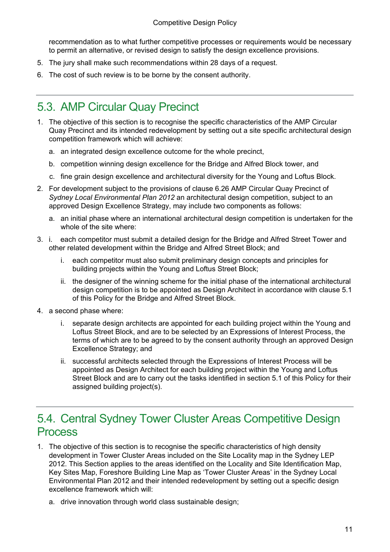recommendation as to what further competitive processes or requirements would be necessary to permit an alternative, or revised design to satisfy the design excellence provisions.

- 5. The jury shall make such recommendations within 28 days of a request.
- 6. The cost of such review is to be borne by the consent authority.

### 5.3. AMP Circular Quay Precinct

- 1. The objective of this section is to recognise the specific characteristics of the AMP Circular Quay Precinct and its intended redevelopment by setting out a site specific architectural design competition framework which will achieve:
	- a. an integrated design excellence outcome for the whole precinct,
	- b. competition winning design excellence for the Bridge and Alfred Block tower, and
	- c. fine grain design excellence and architectural diversity for the Young and Loftus Block.
- 2. For development subject to the provisions of clause 6.26 AMP Circular Quay Precinct of *Sydney Local Environmental Plan 2012* an architectural design competition, subject to an approved Design Excellence Strategy, may include two components as follows:
	- a. an initial phase where an international architectural design competition is undertaken for the whole of the site where:
- 3. i. each competitor must submit a detailed design for the Bridge and Alfred Street Tower and other related development within the Bridge and Alfred Street Block; and
	- i. each competitor must also submit preliminary design concepts and principles for building projects within the Young and Loftus Street Block;
	- ii. the designer of the winning scheme for the initial phase of the international architectural design competition is to be appointed as Design Architect in accordance with clause 5.1 of this Policy for the Bridge and Alfred Street Block.
- 4. a second phase where:
	- i. separate design architects are appointed for each building project within the Young and Loftus Street Block, and are to be selected by an Expressions of Interest Process, the terms of which are to be agreed to by the consent authority through an approved Design Excellence Strategy; and
	- ii. successful architects selected through the Expressions of Interest Process will be appointed as Design Architect for each building project within the Young and Loftus Street Block and are to carry out the tasks identified in section 5.1 of this Policy for their assigned building project(s).

#### 5.4. Central Sydney Tower Cluster Areas Competitive Design Process

- 1. The objective of this section is to recognise the specific characteristics of high density development in Tower Cluster Areas included on the Site Locality map in the Sydney LEP 2012. This Section applies to the areas identified on the Locality and Site Identification Map, Key Sites Map, Foreshore Building Line Map as 'Tower Cluster Areas' in the Sydney Local Environmental Plan 2012 and their intended redevelopment by setting out a specific design excellence framework which will:
	- a. drive innovation through world class sustainable design;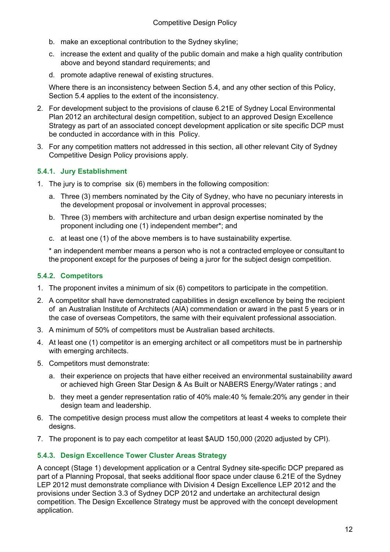- b. make an exceptional contribution to the Sydney skyline;
- c. increase the extent and quality of the public domain and make a high quality contribution above and beyond standard requirements; and
- d. promote adaptive renewal of existing structures.

Where there is an inconsistency between Section 5.4, and any other section of this Policy, Section 5.4 applies to the extent of the inconsistency.

- 2. For development subject to the provisions of clause 6.21E of Sydney Local Environmental Plan 2012 an architectural design competition, subject to an approved Design Excellence Strategy as part of an associated concept development application or site specific DCP must be conducted in accordance with in this Policy.
- 3. For any competition matters not addressed in this section, all other relevant City of Sydney Competitive Design Policy provisions apply.

#### **5.4.1. Jury Establishment**

- 1. The jury is to comprise six (6) members in the following composition:
	- a. Three (3) members nominated by the City of Sydney, who have no pecuniary interests in the development proposal or involvement in approval processes;
	- b. Three (3) members with architecture and urban design expertise nominated by the proponent including one (1) independent member\*; and
	- c. at least one (1) of the above members is to have sustainability expertise.

    \* an independent member means a person who is not a contracted employee or consultant to the proponent except for the purposes of being a juror for the subject design competition.

#### **5.4.2. Competitors**

- 1. The proponent invites a minimum of six (6) competitors to participate in the competition.
- 2. A competitor shall have demonstrated capabilities in design excellence by being the recipient of an Australian Institute of Architects (AIA) commendation or award in the past 5 years or in the case of overseas Competitors, the same with their equivalent professional association.
- 3. A minimum of 50% of competitors must be Australian based architects.
- 4. At least one (1) competitor is an emerging architect or all competitors must be in partnership with emerging architects.
- 5. Competitors must demonstrate:
	- a. their experience on projects that have either received an environmental sustainability award or achieved high Green Star Design & As Built or NABERS Energy/Water ratings ; and
	- b. they meet a gender representation ratio of 40% male:40 % female:20% any gender in their design team and leadership.
- 6. The competitive design process must allow the competitors at least 4 weeks to complete their designs.
- 7. The proponent is to pay each competitor at least \$AUD 150,000 (2020 adjusted by CPI).

#### **5.4.3. Design Excellence Tower Cluster Areas Strategy**

A concept (Stage 1) development application or a Central Sydney site-specific DCP prepared as part of a Planning Proposal, that seeks additional floor space under clause 6.21E of the Sydney LEP 2012 must demonstrate compliance with Division 4 Design Excellence LEP 2012 and the provisions under Section 3.3 of Sydney DCP 2012 and undertake an architectural design competition. The Design Excellence Strategy must be approved with the concept development application.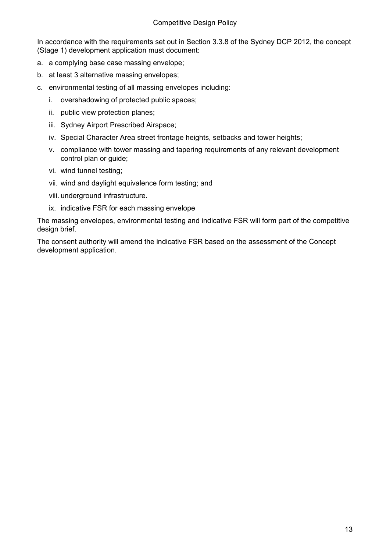In accordance with the requirements set out in Section 3.3.8 of the Sydney DCP 2012, the concept (Stage 1) development application must document:

- a. a complying base case massing envelope;
- b. at least 3 alternative massing envelopes;
- c. environmental testing of all massing envelopes including:
	- i. overshadowing of protected public spaces;
	- ii. public view protection planes;
	- iii. Sydney Airport Prescribed Airspace;
	- iv. Special Character Area street frontage heights, setbacks and tower heights;
	- v. compliance with tower massing and tapering requirements of any relevant development control plan or guide;
	- vi. wind tunnel testing;
	- vii. wind and daylight equivalence form testing; and
	- viii. underground infrastructure.
	- ix. indicative FSR for each massing envelope

design brief. The massing envelopes, environmental testing and indicative FSR will form part of the competitive

The consent authority will amend the indicative FSR based on the assessment of the Concept development application.